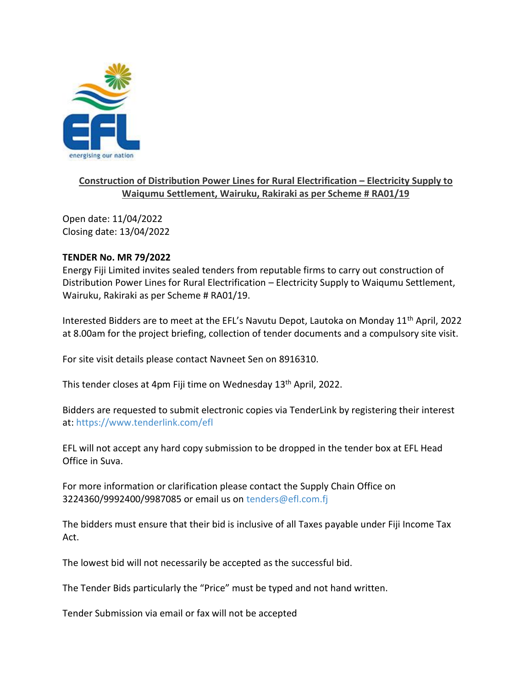

## **Construction of Distribution Power Lines for Rural Electrification – Electricity Supply to Waiqumu Settlement, Wairuku, Rakiraki as per Scheme # RA01/19**

Open date: 11/04/2022 Closing date: 13/04/2022

## **TENDER No. MR 79/2022**

Energy Fiji Limited invites sealed tenders from reputable firms to carry out construction of Distribution Power Lines for Rural Electrification – Electricity Supply to Waiqumu Settlement, Wairuku, Rakiraki as per Scheme # RA01/19.

Interested Bidders are to meet at the EFL's Navutu Depot, Lautoka on Monday 11<sup>th</sup> April, 2022 at 8.00am for the project briefing, collection of tender documents and a compulsory site visit.

For site visit details please contact Navneet Sen on 8916310.

This tender closes at 4pm Fiji time on Wednesday 13<sup>th</sup> April, 2022.

Bidders are requested to submit electronic copies via TenderLink by registering their interest at: <https://www.tenderlink.com/efl>

EFL will not accept any hard copy submission to be dropped in the tender box at EFL Head Office in Suva.

For more information or clarification please contact the Supply Chain Office on 3224360/9992400/9987085 or email us on [tenders@efl.com.fj](mailto:tenders@efl.com.fj)

The bidders must ensure that their bid is inclusive of all Taxes payable under Fiji Income Tax Act.

The lowest bid will not necessarily be accepted as the successful bid.

The Tender Bids particularly the "Price" must be typed and not hand written.

Tender Submission via email or fax will not be accepted